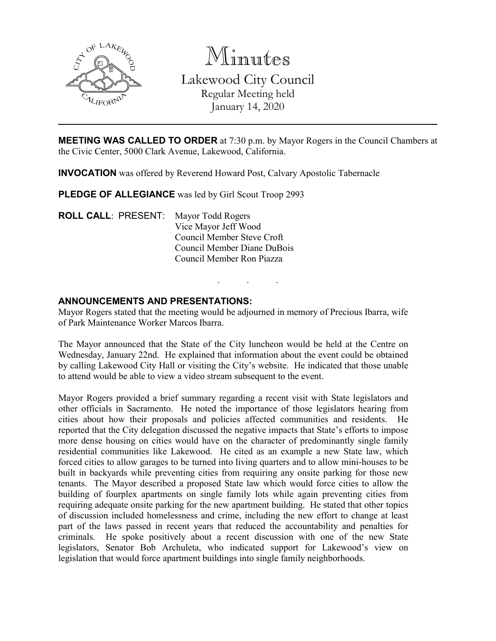

Minutes Lakewood City Council Regular Meeting held January 14, 2020

**MEETING WAS CALLED TO ORDER** at 7:30 p.m. by Mayor Rogers in the Council Chambers at the Civic Center, 5000 Clark Avenue, Lakewood, California.

**INVOCATION** was offered by Reverend Howard Post, Calvary Apostolic Tabernacle

**PLEDGE OF ALLEGIANCE** was led by Girl Scout Troop 2993

**ROLL CALL**: PRESENT: Mayor Todd Rogers Vice Mayor Jeff Wood Council Member Steve Croft Council Member Diane DuBois Council Member Ron Piazza

#### **ANNOUNCEMENTS AND PRESENTATIONS:**

Mayor Rogers stated that the meeting would be adjourned in memory of Precious Ibarra, wife of Park Maintenance Worker Marcos Ibarra.

. . .

The Mayor announced that the State of the City luncheon would be held at the Centre on Wednesday, January 22nd. He explained that information about the event could be obtained by calling Lakewood City Hall or visiting the City's website. He indicated that those unable to attend would be able to view a video stream subsequent to the event.

Mayor Rogers provided a brief summary regarding a recent visit with State legislators and other officials in Sacramento. He noted the importance of those legislators hearing from cities about how their proposals and policies affected communities and residents. He reported that the City delegation discussed the negative impacts that State's efforts to impose more dense housing on cities would have on the character of predominantly single family residential communities like Lakewood. He cited as an example a new State law, which forced cities to allow garages to be turned into living quarters and to allow mini-houses to be built in backyards while preventing cities from requiring any onsite parking for those new tenants. The Mayor described a proposed State law which would force cities to allow the building of fourplex apartments on single family lots while again preventing cities from requiring adequate onsite parking for the new apartment building. He stated that other topics of discussion included homelessness and crime, including the new effort to change at least part of the laws passed in recent years that reduced the accountability and penalties for criminals. He spoke positively about a recent discussion with one of the new State legislators, Senator Bob Archuleta, who indicated support for Lakewood's view on legislation that would force apartment buildings into single family neighborhoods.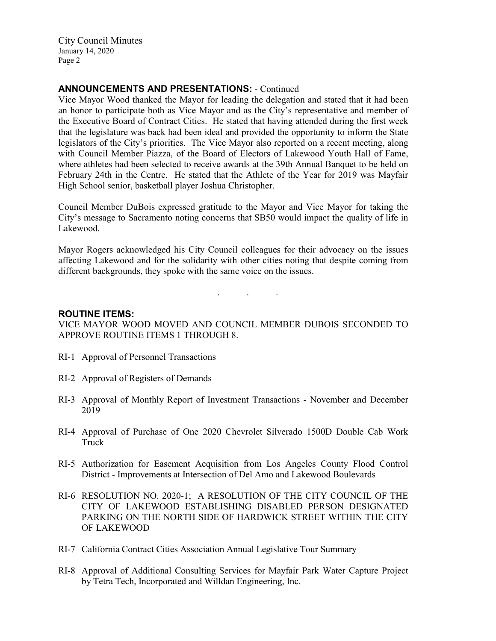### **ANNOUNCEMENTS AND PRESENTATIONS:** - Continued

Vice Mayor Wood thanked the Mayor for leading the delegation and stated that it had been an honor to participate both as Vice Mayor and as the City's representative and member of the Executive Board of Contract Cities. He stated that having attended during the first week that the legislature was back had been ideal and provided the opportunity to inform the State legislators of the City's priorities. The Vice Mayor also reported on a recent meeting, along with Council Member Piazza, of the Board of Electors of Lakewood Youth Hall of Fame, where athletes had been selected to receive awards at the 39th Annual Banquet to be held on February 24th in the Centre. He stated that the Athlete of the Year for 2019 was Mayfair High School senior, basketball player Joshua Christopher.

Council Member DuBois expressed gratitude to the Mayor and Vice Mayor for taking the City's message to Sacramento noting concerns that SB50 would impact the quality of life in Lakewood.

Mayor Rogers acknowledged his City Council colleagues for their advocacy on the issues affecting Lakewood and for the solidarity with other cities noting that despite coming from different backgrounds, they spoke with the same voice on the issues.

. . .

### **ROUTINE ITEMS:**

VICE MAYOR WOOD MOVED AND COUNCIL MEMBER DUBOIS SECONDED TO APPROVE ROUTINE ITEMS 1 THROUGH 8.

- RI-1 Approval of Personnel Transactions
- RI-2 Approval of Registers of Demands
- RI-3 Approval of Monthly Report of Investment Transactions November and December 2019
- RI-4 Approval of Purchase of One 2020 Chevrolet Silverado 1500D Double Cab Work Truck
- RI-5 Authorization for Easement Acquisition from Los Angeles County Flood Control District - Improvements at Intersection of Del Amo and Lakewood Boulevards
- RI-6 RESOLUTION NO. 2020-1; A RESOLUTION OF THE CITY COUNCIL OF THE CITY OF LAKEWOOD ESTABLISHING DISABLED PERSON DESIGNATED PARKING ON THE NORTH SIDE OF HARDWICK STREET WITHIN THE CITY OF LAKEWOOD
- RI-7 California Contract Cities Association Annual Legislative Tour Summary
- RI-8 Approval of Additional Consulting Services for Mayfair Park Water Capture Project by Tetra Tech, Incorporated and Willdan Engineering, Inc.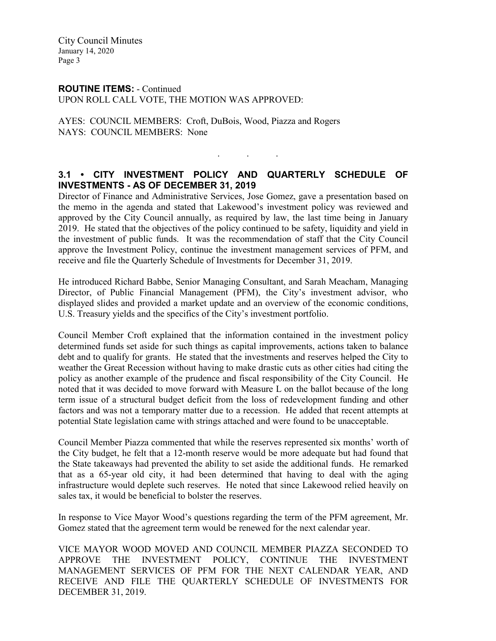# **ROUTINE ITEMS:** - Continued

UPON ROLL CALL VOTE, THE MOTION WAS APPROVED:

AYES: COUNCIL MEMBERS: Croft, DuBois, Wood, Piazza and Rogers NAYS: COUNCIL MEMBERS: None

# **3.1 • CITY INVESTMENT POLICY AND QUARTERLY SCHEDULE OF INVESTMENTS - AS OF DECEMBER 31, 2019**

. . .

Director of Finance and Administrative Services, Jose Gomez, gave a presentation based on the memo in the agenda and stated that Lakewood's investment policy was reviewed and approved by the City Council annually, as required by law, the last time being in January 2019. He stated that the objectives of the policy continued to be safety, liquidity and yield in the investment of public funds. It was the recommendation of staff that the City Council approve the Investment Policy, continue the investment management services of PFM, and receive and file the Quarterly Schedule of Investments for December 31, 2019.

He introduced Richard Babbe, Senior Managing Consultant, and Sarah Meacham, Managing Director, of Public Financial Management (PFM), the City's investment advisor, who displayed slides and provided a market update and an overview of the economic conditions, U.S. Treasury yields and the specifics of the City's investment portfolio.

Council Member Croft explained that the information contained in the investment policy determined funds set aside for such things as capital improvements, actions taken to balance debt and to qualify for grants. He stated that the investments and reserves helped the City to weather the Great Recession without having to make drastic cuts as other cities had citing the policy as another example of the prudence and fiscal responsibility of the City Council. He noted that it was decided to move forward with Measure L on the ballot because of the long term issue of a structural budget deficit from the loss of redevelopment funding and other factors and was not a temporary matter due to a recession. He added that recent attempts at potential State legislation came with strings attached and were found to be unacceptable.

Council Member Piazza commented that while the reserves represented six months' worth of the City budget, he felt that a 12-month reserve would be more adequate but had found that the State takeaways had prevented the ability to set aside the additional funds. He remarked that as a 65-year old city, it had been determined that having to deal with the aging infrastructure would deplete such reserves. He noted that since Lakewood relied heavily on sales tax, it would be beneficial to bolster the reserves.

In response to Vice Mayor Wood's questions regarding the term of the PFM agreement, Mr. Gomez stated that the agreement term would be renewed for the next calendar year.

VICE MAYOR WOOD MOVED AND COUNCIL MEMBER PIAZZA SECONDED TO APPROVE THE INVESTMENT POLICY, CONTINUE THE INVESTMENT MANAGEMENT SERVICES OF PFM FOR THE NEXT CALENDAR YEAR, AND RECEIVE AND FILE THE QUARTERLY SCHEDULE OF INVESTMENTS FOR DECEMBER 31, 2019.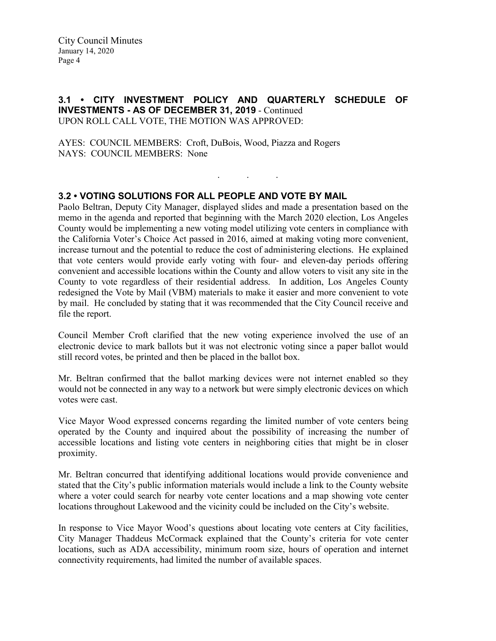#### **3.1 • CITY INVESTMENT POLICY AND QUARTERLY SCHEDULE OF INVESTMENTS - AS OF DECEMBER 31, 2019** - Continued UPON ROLL CALL VOTE, THE MOTION WAS APPROVED:

. . .

AYES: COUNCIL MEMBERS: Croft, DuBois, Wood, Piazza and Rogers NAYS: COUNCIL MEMBERS: None

# **3.2 • VOTING SOLUTIONS FOR ALL PEOPLE AND VOTE BY MAIL**

Paolo Beltran, Deputy City Manager, displayed slides and made a presentation based on the memo in the agenda and reported that beginning with the March 2020 election, Los Angeles County would be implementing a new voting model utilizing vote centers in compliance with the California Voter's Choice Act passed in 2016, aimed at making voting more convenient, increase turnout and the potential to reduce the cost of administering elections. He explained that vote centers would provide early voting with four- and eleven-day periods offering convenient and accessible locations within the County and allow voters to visit any site in the County to vote regardless of their residential address. In addition, Los Angeles County redesigned the Vote by Mail (VBM) materials to make it easier and more convenient to vote by mail. He concluded by stating that it was recommended that the City Council receive and file the report.

Council Member Croft clarified that the new voting experience involved the use of an electronic device to mark ballots but it was not electronic voting since a paper ballot would still record votes, be printed and then be placed in the ballot box.

Mr. Beltran confirmed that the ballot marking devices were not internet enabled so they would not be connected in any way to a network but were simply electronic devices on which votes were cast.

Vice Mayor Wood expressed concerns regarding the limited number of vote centers being operated by the County and inquired about the possibility of increasing the number of accessible locations and listing vote centers in neighboring cities that might be in closer proximity.

Mr. Beltran concurred that identifying additional locations would provide convenience and stated that the City's public information materials would include a link to the County website where a voter could search for nearby vote center locations and a map showing vote center locations throughout Lakewood and the vicinity could be included on the City's website.

In response to Vice Mayor Wood's questions about locating vote centers at City facilities, City Manager Thaddeus McCormack explained that the County's criteria for vote center locations, such as ADA accessibility, minimum room size, hours of operation and internet connectivity requirements, had limited the number of available spaces.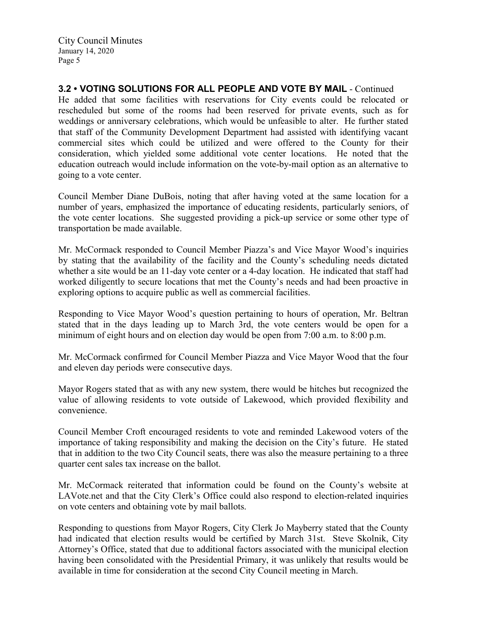going to a vote center.

**3.2 • VOTING SOLUTIONS FOR ALL PEOPLE AND VOTE BY MAIL** - Continued He added that some facilities with reservations for City events could be relocated or rescheduled but some of the rooms had been reserved for private events, such as for weddings or anniversary celebrations, which would be unfeasible to alter. He further stated that staff of the Community Development Department had assisted with identifying vacant commercial sites which could be utilized and were offered to the County for their consideration, which yielded some additional vote center locations. He noted that the education outreach would include information on the vote-by-mail option as an alternative to

Council Member Diane DuBois, noting that after having voted at the same location for a number of years, emphasized the importance of educating residents, particularly seniors, of the vote center locations. She suggested providing a pick-up service or some other type of transportation be made available.

Mr. McCormack responded to Council Member Piazza's and Vice Mayor Wood's inquiries by stating that the availability of the facility and the County's scheduling needs dictated whether a site would be an 11-day vote center or a 4-day location. He indicated that staff had worked diligently to secure locations that met the County's needs and had been proactive in exploring options to acquire public as well as commercial facilities.

Responding to Vice Mayor Wood's question pertaining to hours of operation, Mr. Beltran stated that in the days leading up to March 3rd, the vote centers would be open for a minimum of eight hours and on election day would be open from 7:00 a.m. to 8:00 p.m.

Mr. McCormack confirmed for Council Member Piazza and Vice Mayor Wood that the four and eleven day periods were consecutive days.

Mayor Rogers stated that as with any new system, there would be hitches but recognized the value of allowing residents to vote outside of Lakewood, which provided flexibility and convenience.

Council Member Croft encouraged residents to vote and reminded Lakewood voters of the importance of taking responsibility and making the decision on the City's future. He stated that in addition to the two City Council seats, there was also the measure pertaining to a three quarter cent sales tax increase on the ballot.

Mr. McCormack reiterated that information could be found on the County's website at LAVote.net and that the City Clerk's Office could also respond to election-related inquiries on vote centers and obtaining vote by mail ballots.

Responding to questions from Mayor Rogers, City Clerk Jo Mayberry stated that the County had indicated that election results would be certified by March 31st. Steve Skolnik, City Attorney's Office, stated that due to additional factors associated with the municipal election having been consolidated with the Presidential Primary, it was unlikely that results would be available in time for consideration at the second City Council meeting in March.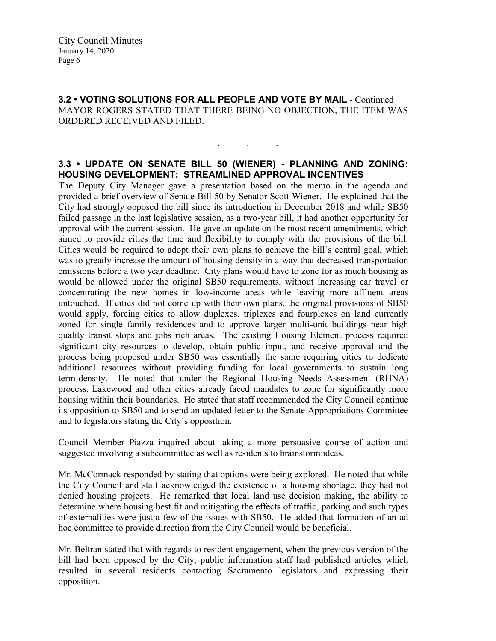**3.2 • VOTING SOLUTIONS FOR ALL PEOPLE AND VOTE BY MAIL** - Continued MAYOR ROGERS STATED THAT THERE BEING NO OBJECTION, THE ITEM WAS ORDERED RECEIVED AND FILED.

## **3.3 • UPDATE ON SENATE BILL 50 (WIENER) - PLANNING AND ZONING: HOUSING DEVELOPMENT: STREAMLINED APPROVAL INCENTIVES**

. . .

The Deputy City Manager gave a presentation based on the memo in the agenda and provided a brief overview of Senate Bill 50 by Senator Scott Wiener. He explained that the City had strongly opposed the bill since its introduction in December 2018 and while SB50 failed passage in the last legislative session, as a two-year bill, it had another opportunity for approval with the current session. He gave an update on the most recent amendments, which aimed to provide cities the time and flexibility to comply with the provisions of the bill. Cities would be required to adopt their own plans to achieve the bill's central goal, which was to greatly increase the amount of housing density in a way that decreased transportation emissions before a two year deadline. City plans would have to zone for as much housing as would be allowed under the original SB50 requirements, without increasing car travel or concentrating the new homes in low-income areas while leaving more affluent areas untouched. If cities did not come up with their own plans, the original provisions of SB50 would apply, forcing cities to allow duplexes, triplexes and fourplexes on land currently zoned for single family residences and to approve larger multi-unit buildings near high quality transit stops and jobs rich areas. The existing Housing Element process required significant city resources to develop, obtain public input, and receive approval and the process being proposed under SB50 was essentially the same requiring cities to dedicate additional resources without providing funding for local governments to sustain long term-density. He noted that under the Regional Housing Needs Assessment (RHNA) process, Lakewood and other cities already faced mandates to zone for significantly more housing within their boundaries. He stated that staff recommended the City Council continue its opposition to SB50 and to send an updated letter to the Senate Appropriations Committee and to legislators stating the City's opposition.

Council Member Piazza inquired about taking a more persuasive course of action and suggested involving a subcommittee as well as residents to brainstorm ideas.

Mr. McCormack responded by stating that options were being explored. He noted that while the City Council and staff acknowledged the existence of a housing shortage, they had not denied housing projects. He remarked that local land use decision making, the ability to determine where housing best fit and mitigating the effects of traffic, parking and such types of externalities were just a few of the issues with SB50. He added that formation of an ad hoc committee to provide direction from the City Council would be beneficial.

Mr. Beltran stated that with regards to resident engagement, when the previous version of the bill had been opposed by the City, public information staff had published articles which resulted in several residents contacting Sacramento legislators and expressing their opposition.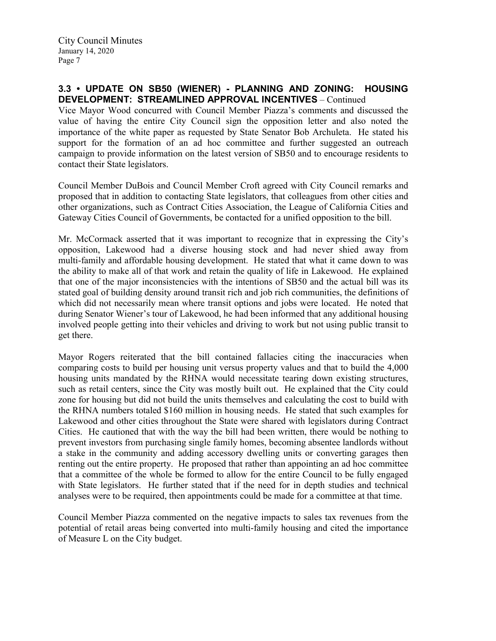### **3.3 • UPDATE ON SB50 (WIENER) - PLANNING AND ZONING: HOUSING DEVELOPMENT: STREAMLINED APPROVAL INCENTIVES** – Continued

Vice Mayor Wood concurred with Council Member Piazza's comments and discussed the value of having the entire City Council sign the opposition letter and also noted the importance of the white paper as requested by State Senator Bob Archuleta. He stated his support for the formation of an ad hoc committee and further suggested an outreach campaign to provide information on the latest version of SB50 and to encourage residents to contact their State legislators.

Council Member DuBois and Council Member Croft agreed with City Council remarks and proposed that in addition to contacting State legislators, that colleagues from other cities and other organizations, such as Contract Cities Association, the League of California Cities and Gateway Cities Council of Governments, be contacted for a unified opposition to the bill.

Mr. McCormack asserted that it was important to recognize that in expressing the City's opposition, Lakewood had a diverse housing stock and had never shied away from multi-family and affordable housing development. He stated that what it came down to was the ability to make all of that work and retain the quality of life in Lakewood. He explained that one of the major inconsistencies with the intentions of SB50 and the actual bill was its stated goal of building density around transit rich and job rich communities, the definitions of which did not necessarily mean where transit options and jobs were located. He noted that during Senator Wiener's tour of Lakewood, he had been informed that any additional housing involved people getting into their vehicles and driving to work but not using public transit to get there.

Mayor Rogers reiterated that the bill contained fallacies citing the inaccuracies when comparing costs to build per housing unit versus property values and that to build the 4,000 housing units mandated by the RHNA would necessitate tearing down existing structures, such as retail centers, since the City was mostly built out. He explained that the City could zone for housing but did not build the units themselves and calculating the cost to build with the RHNA numbers totaled \$160 million in housing needs. He stated that such examples for Lakewood and other cities throughout the State were shared with legislators during Contract Cities. He cautioned that with the way the bill had been written, there would be nothing to prevent investors from purchasing single family homes, becoming absentee landlords without a stake in the community and adding accessory dwelling units or converting garages then renting out the entire property. He proposed that rather than appointing an ad hoc committee that a committee of the whole be formed to allow for the entire Council to be fully engaged with State legislators. He further stated that if the need for in depth studies and technical analyses were to be required, then appointments could be made for a committee at that time.

Council Member Piazza commented on the negative impacts to sales tax revenues from the potential of retail areas being converted into multi-family housing and cited the importance of Measure L on the City budget.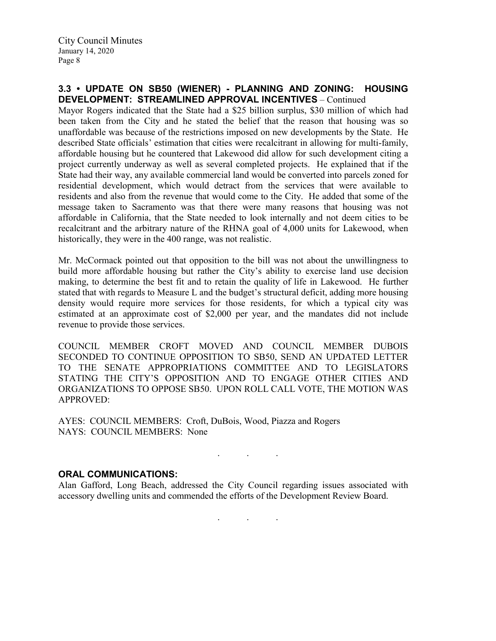### **3.3 • UPDATE ON SB50 (WIENER) - PLANNING AND ZONING: HOUSING DEVELOPMENT: STREAMLINED APPROVAL INCENTIVES** – Continued

Mayor Rogers indicated that the State had a \$25 billion surplus, \$30 million of which had been taken from the City and he stated the belief that the reason that housing was so unaffordable was because of the restrictions imposed on new developments by the State. He described State officials' estimation that cities were recalcitrant in allowing for multi-family, affordable housing but he countered that Lakewood did allow for such development citing a project currently underway as well as several completed projects. He explained that if the State had their way, any available commercial land would be converted into parcels zoned for residential development, which would detract from the services that were available to residents and also from the revenue that would come to the City. He added that some of the message taken to Sacramento was that there were many reasons that housing was not affordable in California, that the State needed to look internally and not deem cities to be recalcitrant and the arbitrary nature of the RHNA goal of 4,000 units for Lakewood, when historically, they were in the 400 range, was not realistic.

Mr. McCormack pointed out that opposition to the bill was not about the unwillingness to build more affordable housing but rather the City's ability to exercise land use decision making, to determine the best fit and to retain the quality of life in Lakewood. He further stated that with regards to Measure L and the budget's structural deficit, adding more housing density would require more services for those residents, for which a typical city was estimated at an approximate cost of \$2,000 per year, and the mandates did not include revenue to provide those services.

COUNCIL MEMBER CROFT MOVED AND COUNCIL MEMBER DUBOIS SECONDED TO CONTINUE OPPOSITION TO SB50, SEND AN UPDATED LETTER TO THE SENATE APPROPRIATIONS COMMITTEE AND TO LEGISLATORS STATING THE CITY'S OPPOSITION AND TO ENGAGE OTHER CITIES AND ORGANIZATIONS TO OPPOSE SB50. UPON ROLL CALL VOTE, THE MOTION WAS APPROVED:

AYES: COUNCIL MEMBERS: Croft, DuBois, Wood, Piazza and Rogers NAYS: COUNCIL MEMBERS: None

### **ORAL COMMUNICATIONS:**

Alan Gafford, Long Beach, addressed the City Council regarding issues associated with accessory dwelling units and commended the efforts of the Development Review Board.

. . .

. . .